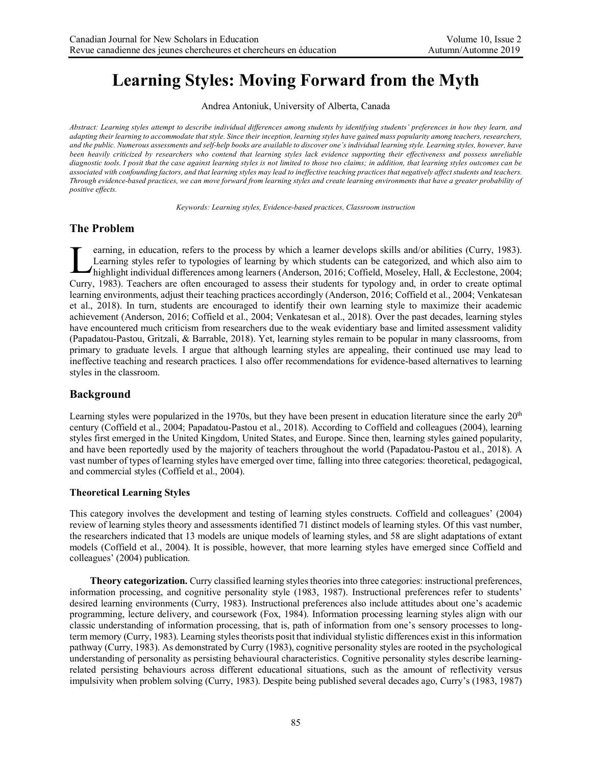# **Learning Styles: Moving Forward from the Myth**

Andrea Antoniuk, University of Alberta, Canada

*Abstract: Learning styles attempt to describe individual differences among students by identifying students' preferences in how they learn, and adapting their learning to accommodate that style. Since their inception, learning styles have gained mass popularity among teachers, researchers, and the public. Numerous assessments and self-help books are available to discover one's individual learning style. Learning styles, however, have been heavily criticized by researchers who contend that learning styles lack evidence supporting their effectiveness and possess unreliable diagnostic tools. I posit that the case against learning styles is not limited to those two claims; in addition, that learning styles outcomes can be associated with confounding factors, and that learning styles may lead to ineffective teaching practices that negatively affect students and teachers. Through evidence-based practices, we can move forward from learning styles and create learning environments that have a greater probability of positive effects.* 

*Keywords: Learning styles, Evidence-based practices, Classroom instruction*

# **The Problem**

earning, in education, refers to the process by which a learner develops skills and/or abilities (Curry, 1983). Learning styles refer to typologies of learning by which students can be categorized, and which also aim to highlight individual differences among learners (Anderson, 2016; Coffield, Moseley, Hall, & Ecclestone, 2004; Curry, 1983). Teachers are often encouraged to assess their students for typology and, in order to create optimal learning environments, adjust their teaching practices accordingly (Anderson, 2016; Coffield et al., 2004; Venkatesan et al., 2018). In turn, students are encouraged to identify their own learning style to maximize their academic achievement (Anderson, 2016; Coffield et al., 2004; Venkatesan et al., 2018). Over the past decades, learning styles have encountered much criticism from researchers due to the weak evidentiary base and limited assessment validity (Papadatou-Pastou, Gritzali, & Barrable, 2018). Yet, learning styles remain to be popular in many classrooms, from primary to graduate levels. I argue that although learning styles are appealing, their continued use may lead to ineffective teaching and research practices. I also offer recommendations for evidence-based alternatives to learning styles in the classroom. L

## **Background**

Learning styles were popularized in the 1970s, but they have been present in education literature since the early  $20<sup>th</sup>$ century (Coffield et al., 2004; Papadatou-Pastou et al., 2018). According to Coffield and colleagues (2004), learning styles first emerged in the United Kingdom, United States, and Europe. Since then, learning styles gained popularity, and have been reportedly used by the majority of teachers throughout the world (Papadatou-Pastou et al., 2018). A vast number of types of learning styles have emerged over time, falling into three categories: theoretical, pedagogical, and commercial styles (Coffield et al., 2004).

## **Theoretical Learning Styles**

This category involves the development and testing of learning styles constructs. Coffield and colleagues' (2004) review of learning styles theory and assessments identified 71 distinct models of learning styles. Of this vast number, the researchers indicated that 13 models are unique models of learning styles, and 58 are slight adaptations of extant models (Coffield et al., 2004). It is possible, however, that more learning styles have emerged since Coffield and colleagues' (2004) publication.

**Theory categorization.** Curry classified learning styles theories into three categories: instructional preferences, information processing, and cognitive personality style (1983, 1987). Instructional preferences refer to students' desired learning environments (Curry, 1983). Instructional preferences also include attitudes about one's academic programming, lecture delivery, and coursework (Fox, 1984). Information processing learning styles align with our classic understanding of information processing, that is, path of information from one's sensory processes to longterm memory (Curry, 1983). Learning styles theorists posit that individual stylistic differences exist in this information pathway (Curry, 1983). As demonstrated by Curry (1983), cognitive personality styles are rooted in the psychological understanding of personality as persisting behavioural characteristics. Cognitive personality styles describe learningrelated persisting behaviours across different educational situations, such as the amount of reflectivity versus impulsivity when problem solving (Curry, 1983). Despite being published several decades ago, Curry's (1983, 1987)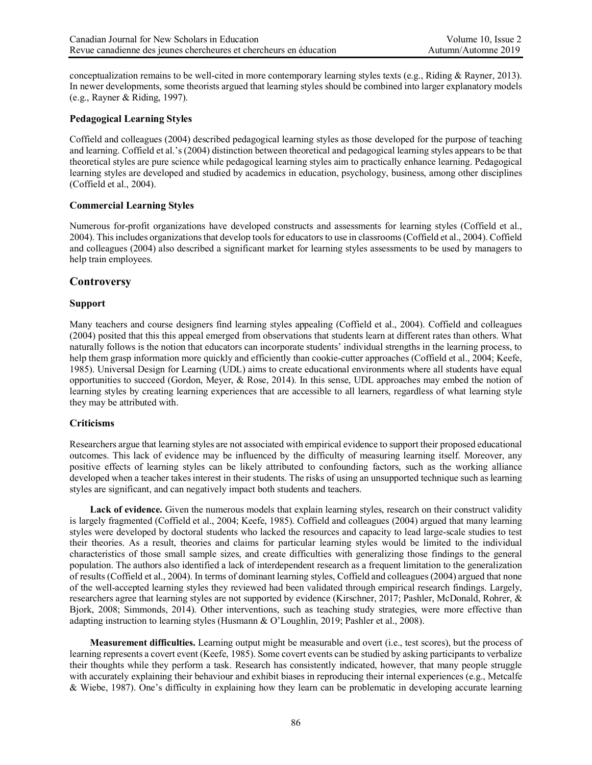conceptualization remains to be well-cited in more contemporary learning styles texts (e.g., Riding & Rayner, 2013). In newer developments, some theorists argued that learning styles should be combined into larger explanatory models (e.g., Rayner & Riding, 1997).

#### **Pedagogical Learning Styles**

Coffield and colleagues (2004) described pedagogical learning styles as those developed for the purpose of teaching and learning. Coffield et al.'s (2004) distinction between theoretical and pedagogical learning styles appears to be that theoretical styles are pure science while pedagogical learning styles aim to practically enhance learning. Pedagogical learning styles are developed and studied by academics in education, psychology, business, among other disciplines (Coffield et al., 2004).

## **Commercial Learning Styles**

Numerous for-profit organizations have developed constructs and assessments for learning styles (Coffield et al., 2004). This includes organizations that develop tools for educators to use in classrooms (Coffield et al., 2004). Coffield and colleagues (2004) also described a significant market for learning styles assessments to be used by managers to help train employees.

## **Controversy**

## **Support**

Many teachers and course designers find learning styles appealing (Coffield et al., 2004). Coffield and colleagues (2004) posited that this this appeal emerged from observations that students learn at different rates than others. What naturally follows is the notion that educators can incorporate students' individual strengths in the learning process, to help them grasp information more quickly and efficiently than cookie-cutter approaches (Coffield et al., 2004; Keefe, 1985). Universal Design for Learning (UDL) aims to create educational environments where all students have equal opportunities to succeed (Gordon, Meyer, & Rose, 2014). In this sense, UDL approaches may embed the notion of learning styles by creating learning experiences that are accessible to all learners, regardless of what learning style they may be attributed with.

#### **Criticisms**

Researchers argue that learning styles are not associated with empirical evidence to support their proposed educational outcomes. This lack of evidence may be influenced by the difficulty of measuring learning itself. Moreover, any positive effects of learning styles can be likely attributed to confounding factors, such as the working alliance developed when a teacher takes interest in their students. The risks of using an unsupported technique such as learning styles are significant, and can negatively impact both students and teachers.

**Lack of evidence.** Given the numerous models that explain learning styles, research on their construct validity is largely fragmented (Coffield et al., 2004; Keefe, 1985). Coffield and colleagues (2004) argued that many learning styles were developed by doctoral students who lacked the resources and capacity to lead large-scale studies to test their theories. As a result, theories and claims for particular learning styles would be limited to the individual characteristics of those small sample sizes, and create difficulties with generalizing those findings to the general population. The authors also identified a lack of interdependent research as a frequent limitation to the generalization of results (Coffield et al., 2004). In terms of dominant learning styles, Coffield and colleagues (2004) argued that none of the well-accepted learning styles they reviewed had been validated through empirical research findings. Largely, researchers agree that learning styles are not supported by evidence (Kirschner, 2017; Pashler, McDonald, Rohrer, & Bjork, 2008; Simmonds, 2014). Other interventions, such as teaching study strategies, were more effective than adapting instruction to learning styles (Husmann & O'Loughlin, 2019; Pashler et al., 2008).

**Measurement difficulties.** Learning output might be measurable and overt (i.e., test scores), but the process of learning represents a covert event (Keefe, 1985). Some covert events can be studied by asking participants to verbalize their thoughts while they perform a task. Research has consistently indicated, however, that many people struggle with accurately explaining their behaviour and exhibit biases in reproducing their internal experiences (e.g., Metcalfe & Wiebe, 1987). One's difficulty in explaining how they learn can be problematic in developing accurate learning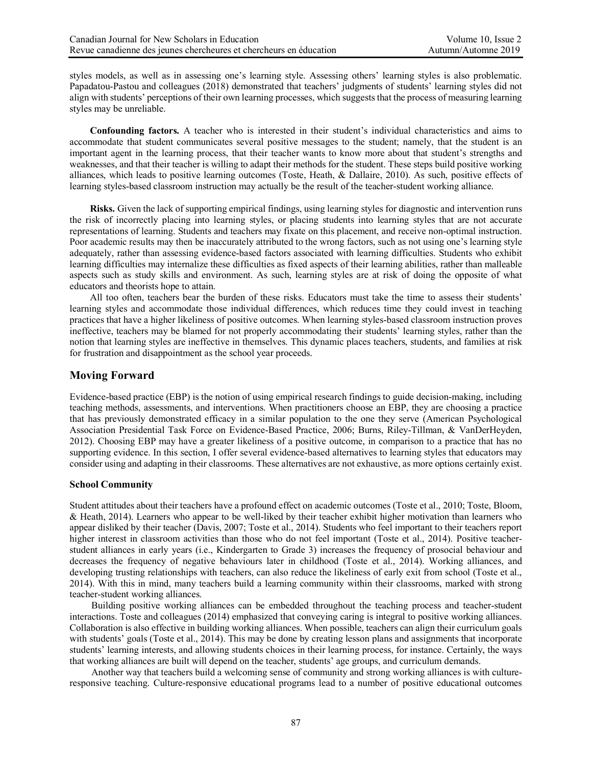styles models, as well as in assessing one's learning style. Assessing others' learning styles is also problematic. Papadatou-Pastou and colleagues (2018) demonstrated that teachers' judgments of students' learning styles did not align with students' perceptions of their own learning processes, which suggests that the process of measuring learning styles may be unreliable.

**Confounding factors.** A teacher who is interested in their student's individual characteristics and aims to accommodate that student communicates several positive messages to the student; namely, that the student is an important agent in the learning process, that their teacher wants to know more about that student's strengths and weaknesses, and that their teacher is willing to adapt their methods for the student. These steps build positive working alliances, which leads to positive learning outcomes (Toste, Heath, & Dallaire, 2010). As such, positive effects of learning styles-based classroom instruction may actually be the result of the teacher-student working alliance.

**Risks.** Given the lack of supporting empirical findings, using learning styles for diagnostic and intervention runs the risk of incorrectly placing into learning styles, or placing students into learning styles that are not accurate representations of learning. Students and teachers may fixate on this placement, and receive non-optimal instruction. Poor academic results may then be inaccurately attributed to the wrong factors, such as not using one's learning style adequately, rather than assessing evidence-based factors associated with learning difficulties. Students who exhibit learning difficulties may internalize these difficulties as fixed aspects of their learning abilities, rather than malleable aspects such as study skills and environment. As such, learning styles are at risk of doing the opposite of what educators and theorists hope to attain.

All too often, teachers bear the burden of these risks. Educators must take the time to assess their students' learning styles and accommodate those individual differences, which reduces time they could invest in teaching practices that have a higher likeliness of positive outcomes. When learning styles-based classroom instruction proves ineffective, teachers may be blamed for not properly accommodating their students' learning styles, rather than the notion that learning styles are ineffective in themselves. This dynamic places teachers, students, and families at risk for frustration and disappointment as the school year proceeds.

## **Moving Forward**

Evidence-based practice (EBP) is the notion of using empirical research findings to guide decision-making, including teaching methods, assessments, and interventions. When practitioners choose an EBP, they are choosing a practice that has previously demonstrated efficacy in a similar population to the one they serve (American Psychological Association Presidential Task Force on Evidence-Based Practice, 2006; Burns, Riley-Tillman, & VanDerHeyden, 2012). Choosing EBP may have a greater likeliness of a positive outcome, in comparison to a practice that has no supporting evidence. In this section, I offer several evidence-based alternatives to learning styles that educators may consider using and adapting in their classrooms. These alternatives are not exhaustive, as more options certainly exist.

#### **School Community**

Student attitudes about their teachers have a profound effect on academic outcomes (Toste et al., 2010; Toste, Bloom, & Heath, 2014). Learners who appear to be well-liked by their teacher exhibit higher motivation than learners who appear disliked by their teacher (Davis, 2007; Toste et al., 2014). Students who feel important to their teachers report higher interest in classroom activities than those who do not feel important (Toste et al., 2014). Positive teacherstudent alliances in early years (i.e., Kindergarten to Grade 3) increases the frequency of prosocial behaviour and decreases the frequency of negative behaviours later in childhood (Toste et al., 2014). Working alliances, and developing trusting relationships with teachers, can also reduce the likeliness of early exit from school (Toste et al., 2014). With this in mind, many teachers build a learning community within their classrooms, marked with strong teacher-student working alliances.

Building positive working alliances can be embedded throughout the teaching process and teacher-student interactions. Toste and colleagues (2014) emphasized that conveying caring is integral to positive working alliances. Collaboration is also effective in building working alliances. When possible, teachers can align their curriculum goals with students' goals (Toste et al., 2014). This may be done by creating lesson plans and assignments that incorporate students' learning interests, and allowing students choices in their learning process, for instance. Certainly, the ways that working alliances are built will depend on the teacher, students' age groups, and curriculum demands.

Another way that teachers build a welcoming sense of community and strong working alliances is with cultureresponsive teaching. Culture-responsive educational programs lead to a number of positive educational outcomes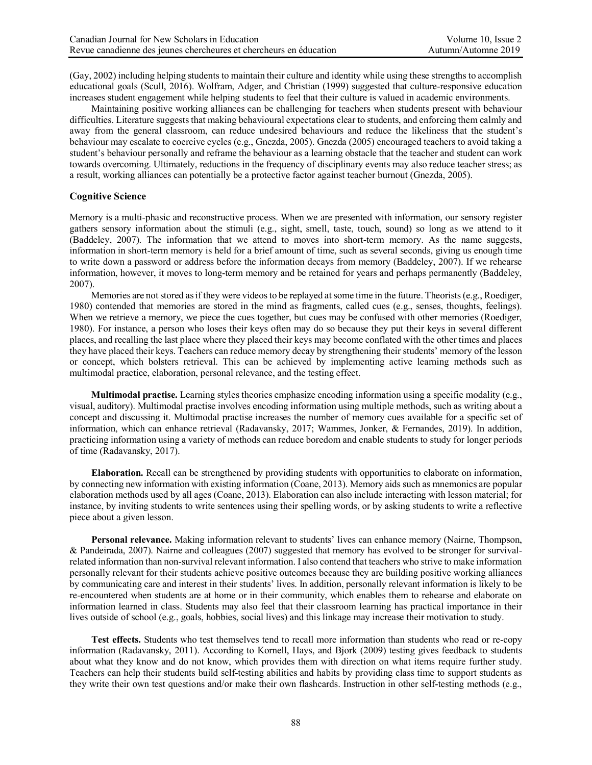(Gay, 2002) including helping students to maintain their culture and identity while using these strengths to accomplish educational goals (Scull, 2016). Wolfram, Adger, and Christian (1999) suggested that culture-responsive education increases student engagement while helping students to feel that their culture is valued in academic environments.

Maintaining positive working alliances can be challenging for teachers when students present with behaviour difficulties. Literature suggests that making behavioural expectations clear to students, and enforcing them calmly and away from the general classroom, can reduce undesired behaviours and reduce the likeliness that the student's behaviour may escalate to coercive cycles (e.g., Gnezda, 2005). Gnezda (2005) encouraged teachers to avoid taking a student's behaviour personally and reframe the behaviour as a learning obstacle that the teacher and student can work towards overcoming. Ultimately, reductions in the frequency of disciplinary events may also reduce teacher stress; as a result, working alliances can potentially be a protective factor against teacher burnout (Gnezda, 2005).

## **Cognitive Science**

Memory is a multi-phasic and reconstructive process. When we are presented with information, our sensory register gathers sensory information about the stimuli (e.g., sight, smell, taste, touch, sound) so long as we attend to it (Baddeley, 2007). The information that we attend to moves into short-term memory. As the name suggests, information in short-term memory is held for a brief amount of time, such as several seconds, giving us enough time to write down a password or address before the information decays from memory (Baddeley, 2007). If we rehearse information, however, it moves to long-term memory and be retained for years and perhaps permanently (Baddeley, 2007).

Memories are not stored as if they were videos to be replayed at some time in the future. Theorists(e.g., Roediger, 1980) contended that memories are stored in the mind as fragments, called cues (e.g., senses, thoughts, feelings). When we retrieve a memory, we piece the cues together, but cues may be confused with other memories (Roediger, 1980). For instance, a person who loses their keys often may do so because they put their keys in several different places, and recalling the last place where they placed their keys may become conflated with the other times and places they have placed their keys. Teachers can reduce memory decay by strengthening their students' memory of the lesson or concept, which bolsters retrieval. This can be achieved by implementing active learning methods such as multimodal practice, elaboration, personal relevance, and the testing effect.

**Multimodal practise.** Learning styles theories emphasize encoding information using a specific modality (e.g., visual, auditory). Multimodal practise involves encoding information using multiple methods, such as writing about a concept and discussing it. Multimodal practise increases the number of memory cues available for a specific set of information, which can enhance retrieval (Radavansky, 2017; Wammes, Jonker, & Fernandes, 2019). In addition, practicing information using a variety of methods can reduce boredom and enable students to study for longer periods of time (Radavansky, 2017).

**Elaboration.** Recall can be strengthened by providing students with opportunities to elaborate on information, by connecting new information with existing information (Coane, 2013). Memory aids such as mnemonics are popular elaboration methods used by all ages (Coane, 2013). Elaboration can also include interacting with lesson material; for instance, by inviting students to write sentences using their spelling words, or by asking students to write a reflective piece about a given lesson.

**Personal relevance.** Making information relevant to students' lives can enhance memory (Nairne, Thompson, & Pandeirada, 2007). Nairne and colleagues (2007) suggested that memory has evolved to be stronger for survivalrelated information than non-survival relevant information. I also contend that teachers who strive to make information personally relevant for their students achieve positive outcomes because they are building positive working alliances by communicating care and interest in their students' lives. In addition, personally relevant information is likely to be re-encountered when students are at home or in their community, which enables them to rehearse and elaborate on information learned in class. Students may also feel that their classroom learning has practical importance in their lives outside of school (e.g., goals, hobbies, social lives) and this linkage may increase their motivation to study.

**Test effects.** Students who test themselves tend to recall more information than students who read or re-copy information (Radavansky, 2011). According to Kornell, Hays, and Bjork (2009) testing gives feedback to students about what they know and do not know, which provides them with direction on what items require further study. Teachers can help their students build self-testing abilities and habits by providing class time to support students as they write their own test questions and/or make their own flashcards. Instruction in other self-testing methods (e.g.,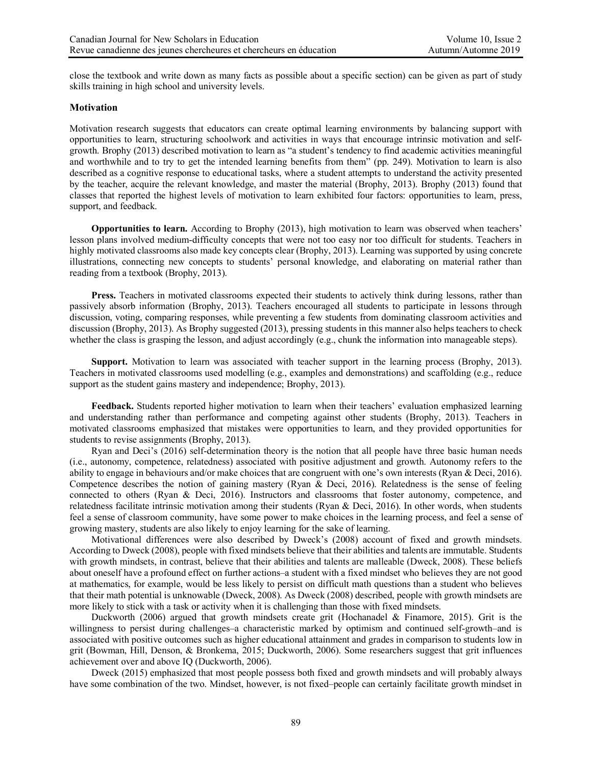close the textbook and write down as many facts as possible about a specific section) can be given as part of study skills training in high school and university levels.

#### **Motivation**

Motivation research suggests that educators can create optimal learning environments by balancing support with opportunities to learn, structuring schoolwork and activities in ways that encourage intrinsic motivation and selfgrowth. Brophy (2013) described motivation to learn as "a student's tendency to find academic activities meaningful and worthwhile and to try to get the intended learning benefits from them" (pp. 249). Motivation to learn is also described as a cognitive response to educational tasks, where a student attempts to understand the activity presented by the teacher, acquire the relevant knowledge, and master the material (Brophy, 2013). Brophy (2013) found that classes that reported the highest levels of motivation to learn exhibited four factors: opportunities to learn, press, support, and feedback.

**Opportunities to learn.** According to Brophy (2013), high motivation to learn was observed when teachers' lesson plans involved medium-difficulty concepts that were not too easy nor too difficult for students. Teachers in highly motivated classrooms also made key concepts clear (Brophy, 2013). Learning was supported by using concrete illustrations, connecting new concepts to students' personal knowledge, and elaborating on material rather than reading from a textbook (Brophy, 2013).

**Press.** Teachers in motivated classrooms expected their students to actively think during lessons, rather than passively absorb information (Brophy, 2013). Teachers encouraged all students to participate in lessons through discussion, voting, comparing responses, while preventing a few students from dominating classroom activities and discussion (Brophy, 2013). As Brophy suggested (2013), pressing students in this manner also helps teachers to check whether the class is grasping the lesson, and adjust accordingly (e.g., chunk the information into manageable steps).

**Support.** Motivation to learn was associated with teacher support in the learning process (Brophy, 2013). Teachers in motivated classrooms used modelling (e.g., examples and demonstrations) and scaffolding (e.g., reduce support as the student gains mastery and independence; Brophy, 2013).

**Feedback.** Students reported higher motivation to learn when their teachers' evaluation emphasized learning and understanding rather than performance and competing against other students (Brophy, 2013). Teachers in motivated classrooms emphasized that mistakes were opportunities to learn, and they provided opportunities for students to revise assignments (Brophy, 2013).

Ryan and Deci's (2016) self-determination theory is the notion that all people have three basic human needs (i.e., autonomy, competence, relatedness) associated with positive adjustment and growth. Autonomy refers to the ability to engage in behaviours and/or make choices that are congruent with one's own interests (Ryan & Deci, 2016). Competence describes the notion of gaining mastery (Ryan  $\&$  Deci, 2016). Relatedness is the sense of feeling connected to others (Ryan & Deci, 2016). Instructors and classrooms that foster autonomy, competence, and relatedness facilitate intrinsic motivation among their students (Ryan & Deci, 2016). In other words, when students feel a sense of classroom community, have some power to make choices in the learning process, and feel a sense of growing mastery, students are also likely to enjoy learning for the sake of learning.

Motivational differences were also described by Dweck's (2008) account of fixed and growth mindsets. According to Dweck (2008), people with fixed mindsets believe that their abilities and talents are immutable. Students with growth mindsets, in contrast, believe that their abilities and talents are malleable (Dweck, 2008). These beliefs about oneself have a profound effect on further actions–a student with a fixed mindset who believes they are not good at mathematics, for example, would be less likely to persist on difficult math questions than a student who believes that their math potential is unknowable (Dweck, 2008). As Dweck (2008) described, people with growth mindsets are more likely to stick with a task or activity when it is challenging than those with fixed mindsets.

Duckworth (2006) argued that growth mindsets create grit (Hochanadel & Finamore, 2015). Grit is the willingness to persist during challenges–a characteristic marked by optimism and continued self-growth–and is associated with positive outcomes such as higher educational attainment and grades in comparison to students low in grit (Bowman, Hill, Denson, & Bronkema, 2015; Duckworth, 2006). Some researchers suggest that grit influences achievement over and above IQ (Duckworth, 2006).

Dweck (2015) emphasized that most people possess both fixed and growth mindsets and will probably always have some combination of the two. Mindset, however, is not fixed–people can certainly facilitate growth mindset in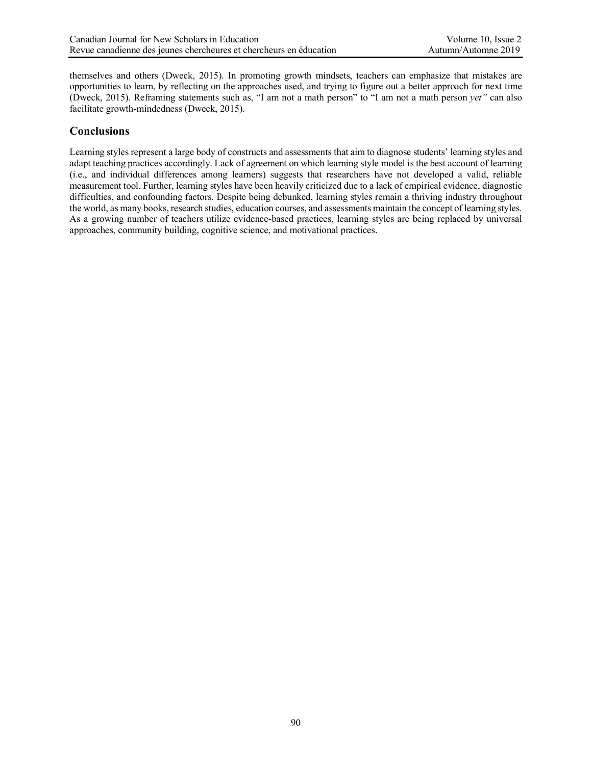themselves and others (Dweck, 2015). In promoting growth mindsets, teachers can emphasize that mistakes are opportunities to learn, by reflecting on the approaches used, and trying to figure out a better approach for next time (Dweck, 2015). Reframing statements such as, "I am not a math person" to "I am not a math person *yet"* can also facilitate growth-mindedness (Dweck, 2015).

## **Conclusions**

Learning styles represent a large body of constructs and assessments that aim to diagnose students' learning styles and adapt teaching practices accordingly. Lack of agreement on which learning style model is the best account of learning (i.e., and individual differences among learners) suggests that researchers have not developed a valid, reliable measurement tool. Further, learning styles have been heavily criticized due to a lack of empirical evidence, diagnostic difficulties, and confounding factors. Despite being debunked, learning styles remain a thriving industry throughout the world, as many books, research studies, education courses, and assessments maintain the concept of learning styles. As a growing number of teachers utilize evidence-based practices, learning styles are being replaced by universal approaches, community building, cognitive science, and motivational practices.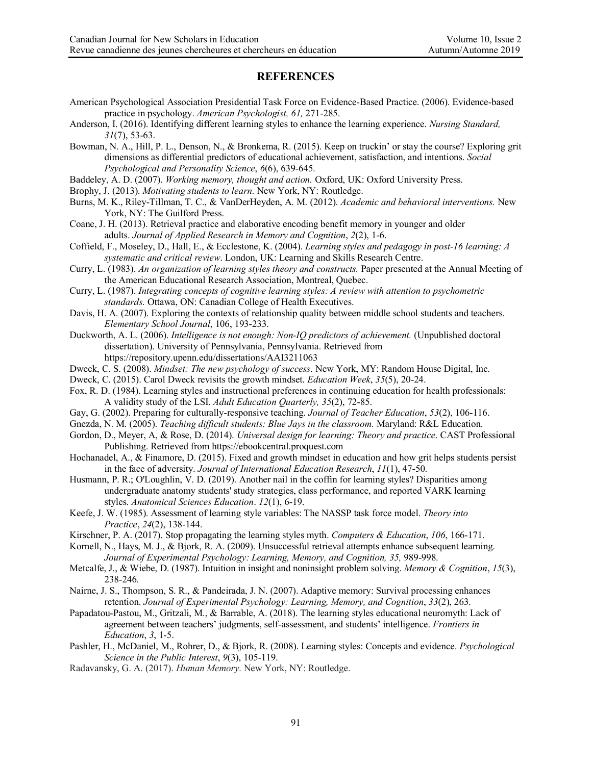## **REFERENCES**

American Psychological Association Presidential Task Force on Evidence-Based Practice. (2006). Evidence-based practice in psychology. *American Psychologist, 61,* 271-285.

Anderson, I. (2016). Identifying different learning styles to enhance the learning experience. *Nursing Standard, 31*(7), 53-63.

- Bowman, N. A., Hill, P. L., Denson, N., & Bronkema, R. (2015). Keep on truckin' or stay the course? Exploring grit dimensions as differential predictors of educational achievement, satisfaction, and intentions. *Social Psychological and Personality Science*, *6*(6), 639-645.
- Baddeley, A. D. (2007). *Working memory, thought and action.* Oxford, UK: Oxford University Press.
- Brophy, J. (2013). *Motivating students to learn*. New York, NY: Routledge.
- Burns, M. K., Riley-Tillman, T. C., & VanDerHeyden, A. M. (2012). *Academic and behavioral interventions.* New York, NY: The Guilford Press.
- Coane, J. H. (2013). Retrieval practice and elaborative encoding benefit memory in younger and older adults. *Journal of Applied Research in Memory and Cognition*, *2*(2), 1-6.
- Coffield, F., Moseley, D., Hall, E., & Ecclestone, K. (2004). *Learning styles and pedagogy in post-16 learning: A systematic and critical review*. London, UK: Learning and Skills Research Centre.
- Curry, L. (1983). *An organization of learning styles theory and constructs.* Paper presented at the Annual Meeting of the American Educational Research Association, Montreal, Quebec.
- Curry, L. (1987). *Integrating concepts of cognitive learning styles: A review with attention to psychometric standards.* Ottawa, ON: Canadian College of Health Executives.
- Davis, H. A. (2007). Exploring the contexts of relationship quality between middle school students and teachers. *Elementary School Journal*, 106, 193-233.
- Duckworth, A. L. (2006). *Intelligence is not enough: Non-IQ predictors of achievement.* (Unpublished doctoral dissertation). University of Pennsylvania, Pennsylvania. Retrieved from https://repository.upenn.edu/dissertations/AAI3211063
- Dweck, C. S. (2008). *Mindset: The new psychology of success*. New York, MY: Random House Digital, Inc.
- Dweck, C. (2015). Carol Dweck revisits the growth mindset. *Education Week*, *35*(5), 20-24.
- Fox, R. D. (1984). Learning styles and instructional preferences in continuing education for health professionals: A validity study of the LSI. *Adult Education Quarterly, 35*(2), 72-85.
- Gay, G. (2002). Preparing for culturally-responsive teaching. *Journal of Teacher Education*, *53*(2), 106-116.
- Gnezda, N. M. (2005). *Teaching difficult students: Blue Jays in the classroom.* Maryland: R&L Education.
- Gordon, D., Meyer, A, & Rose, D. (2014). *Universal design for learning: Theory and practice*. CAST Professional Publishing. Retrieved from https://ebookcentral.proquest.com
- Hochanadel, A., & Finamore, D. (2015). Fixed and growth mindset in education and how grit helps students persist in the face of adversity. *Journal of International Education Research*, *11*(1), 47-50.
- Husmann, P. R.; O'Loughlin, V. D. (2019). Another nail in the coffin for learning styles? Disparities among undergraduate anatomy students' study strategies, class performance, and reported VARK learning styles. *Anatomical Sciences Education*. *12*(1), 6-19.
- Keefe, J. W. (1985). Assessment of learning style variables: The NASSP task force model. *Theory into Practice*, *24*(2), 138-144.
- Kirschner, P. A. (2017). Stop propagating the learning styles myth. *Computers & Education*, *106*, 166-171.
- Kornell, N., Hays, M. J., & Bjork, R. A. (2009). Unsuccessful retrieval attempts enhance subsequent learning. Journal of Experimental Psychology: Learning, Memory, and Cognition, 35, 989-998.
- Metcalfe, J., & Wiebe, D. (1987). Intuition in insight and noninsight problem solving. *Memory & Cognition*, *15*(3), 238-246.
- Nairne, J. S., Thompson, S. R., & Pandeirada, J. N. (2007). Adaptive memory: Survival processing enhances retention. *Journal of Experimental Psychology: Learning, Memory, and Cognition*, *33*(2), 263.
- Papadatou-Pastou, M., Gritzali, M., & Barrable, A. (2018). The learning styles educational neuromyth: Lack of agreement between teachers' judgments, self-assessment, and students' intelligence. *Frontiers in Education*, *3*, 1-5.
- Pashler, H., McDaniel, M., Rohrer, D., & Bjork, R. (2008). Learning styles: Concepts and evidence. *Psychological Science in the Public Interest*, *9*(3), 105-119.
- Radavansky, G. A. (2017). *Human Memory*. New York, NY: Routledge.